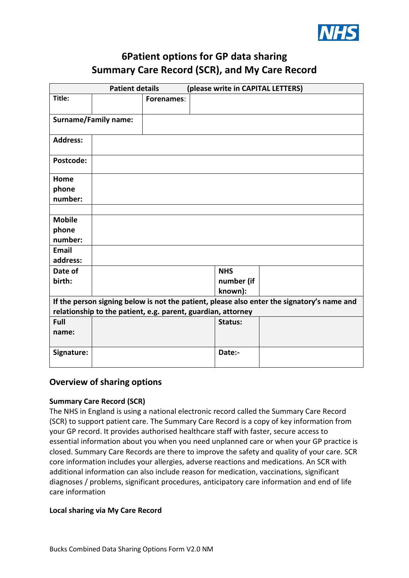

# **6Patient options for GP data sharing Summary Care Record (SCR), and My Care Record**

| <b>Patient details</b>                                                                     |  |            | (please write in CAPITAL LETTERS) |  |  |  |  |
|--------------------------------------------------------------------------------------------|--|------------|-----------------------------------|--|--|--|--|
| Title:                                                                                     |  | Forenames: |                                   |  |  |  |  |
| <b>Surname/Family name:</b>                                                                |  |            |                                   |  |  |  |  |
| <b>Address:</b>                                                                            |  |            |                                   |  |  |  |  |
| Postcode:                                                                                  |  |            |                                   |  |  |  |  |
| Home                                                                                       |  |            |                                   |  |  |  |  |
| phone                                                                                      |  |            |                                   |  |  |  |  |
| number:                                                                                    |  |            |                                   |  |  |  |  |
|                                                                                            |  |            |                                   |  |  |  |  |
| <b>Mobile</b>                                                                              |  |            |                                   |  |  |  |  |
| phone                                                                                      |  |            |                                   |  |  |  |  |
| number:                                                                                    |  |            |                                   |  |  |  |  |
| Email                                                                                      |  |            |                                   |  |  |  |  |
| address:                                                                                   |  |            |                                   |  |  |  |  |
| Date of                                                                                    |  |            | <b>NHS</b>                        |  |  |  |  |
| birth:                                                                                     |  |            | number (if                        |  |  |  |  |
|                                                                                            |  |            | known):                           |  |  |  |  |
| If the person signing below is not the patient, please also enter the signatory's name and |  |            |                                   |  |  |  |  |
| relationship to the patient, e.g. parent, guardian, attorney                               |  |            |                                   |  |  |  |  |
| Full                                                                                       |  |            | Status:                           |  |  |  |  |
| name:                                                                                      |  |            |                                   |  |  |  |  |
| Signature:                                                                                 |  |            | Date:-                            |  |  |  |  |

### **Overview of sharing options**

### **Summary Care Record (SCR)**

The NHS in England is using a national electronic record called the Summary Care Record (SCR) to support patient care. The Summary Care Record is a copy of key information from your GP record. It provides authorised healthcare staff with faster, secure access to essential information about you when you need unplanned care or when your GP practice is closed. Summary Care Records are there to improve the safety and quality of your care. SCR core information includes your allergies, adverse reactions and medications. An SCR with additional information can also include reason for medication, vaccinations, significant diagnoses / problems, significant procedures, anticipatory care information and end of life care information

#### **Local sharing via My Care Record**